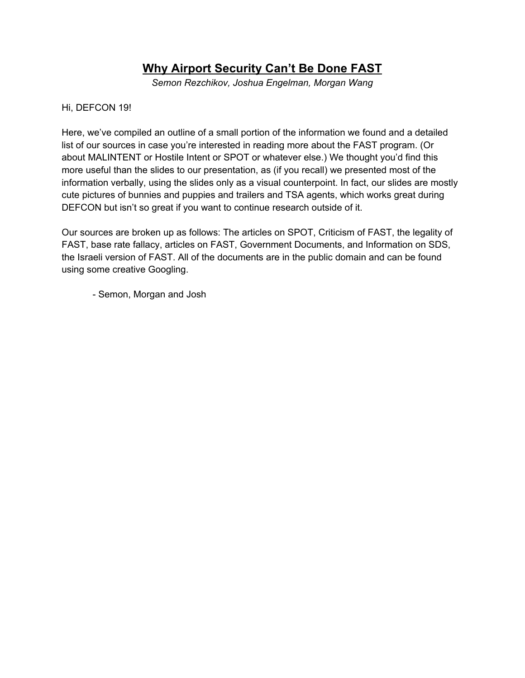# **Why Airport Security Can't Be Done FAST**

*Semon Rezchikov, Joshua Engelman, Morgan Wang*

### Hi, DEFCON 19!

Here, we've compiled an outline of a small portion of the information we found and a detailed list of our sources in case you're interested in reading more about the FAST program. (Or about MALINTENT or Hostile Intent or SPOT or whatever else.) We thought you'd find this more useful than the slides to our presentation, as (if you recall) we presented most of the information verbally, using the slides only as a visual counterpoint. In fact, our slides are mostly cute pictures of bunnies and puppies and trailers and TSA agents, which works great during DEFCON but isn't so great if you want to continue research outside of it.

Our sources are broken up as follows: The articles on SPOT, Criticism of FAST, the legality of FAST, base rate fallacy, articles on FAST, Government Documents, and Information on SDS, the Israeli version of FAST. All of the documents are in the public domain and can be found using some creative Googling.

- Semon, Morgan and Josh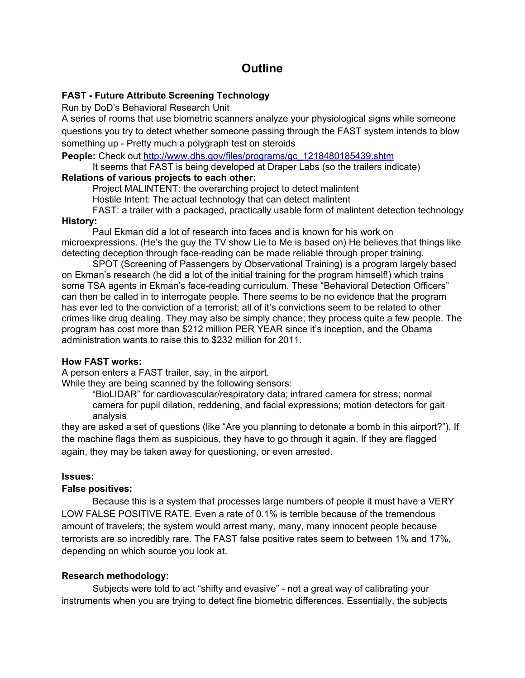# **Outline**

## **FAST - Future Attribute Screening Technology**

Run by DoD's Behavioral Research Unit

A series of rooms that use biometric scanners analyze your physiological signs while someone questions you try to detect whether someone passing through the FAST system intends to blow something up - Pretty much a polygraph test on steroids

**People:** Check out [http://www.dhs.gov/files/programs/gc\\_1218480185439.shtm](http://www.dhs.gov/files/programs/gc_1218480185439.shtm)

It seems that FAST is being developed at Draper Labs (so the trailers indicate) **Relations of various projects to each other:**

Project MALINTENT: the overarching project to detect malintent

Hostile Intent: The actual technology that can detect malintent

FAST: a trailer with a packaged, practically usable form of malintent detection technology

## **History:**

Paul Ekman did a lot of research into faces and is known for his work on microexpressions. (He's the guy the TV show Lie to Me is based on) He believes that things like detecting deception through face-reading can be made reliable through proper training.

SPOT (Screening of Passengers by Observational Training) is a program largely based on Ekman's research (he did a lot of the initial training for the program himself!) which trains some TSA agents in Ekman's face-reading curriculum. These "Behavioral Detection Officers" can then be called in to interrogate people. There seems to be no evidence that the program has ever led to the conviction of a terrorist; all of it's convictions seem to be related to other crimes like drug dealing. They may also be simply chance; they process quite a few people. The program has cost more than \$212 million PER YEAR since it's inception, and the Obama administration wants to raise this to \$232 million for 2011.

### **How FAST works:**

A person enters a FAST trailer, say, in the airport.

While they are being scanned by the following sensors:

"BioLIDAR" for cardiovascular/respiratory data; infrared camera for stress; normal camera for pupil dilation, reddening, and facial expressions; motion detectors for gait analysis

they are asked a set of questions (like "Are you planning to detonate a bomb in this airport?"). If the machine flags them as suspicious, they have to go through it again. If they are flagged again, they may be taken away for questioning, or even arrested.

### **Issues:**

### **False positives:**

Because this is a system that processes large numbers of people it must have a VERY LOW FALSE POSITIVE RATE. Even a rate of 0.1% is terrible because of the tremendous amount of travelers; the system would arrest many, many, many innocent people because terrorists are so incredibly rare. The FAST false positive rates seem to between 1% and 17%, depending on which source you look at.

## **Research methodology:**

Subjects were told to act "shifty and evasive" - not a great way of calibrating your instruments when you are trying to detect fine biometric differences. Essentially, the subjects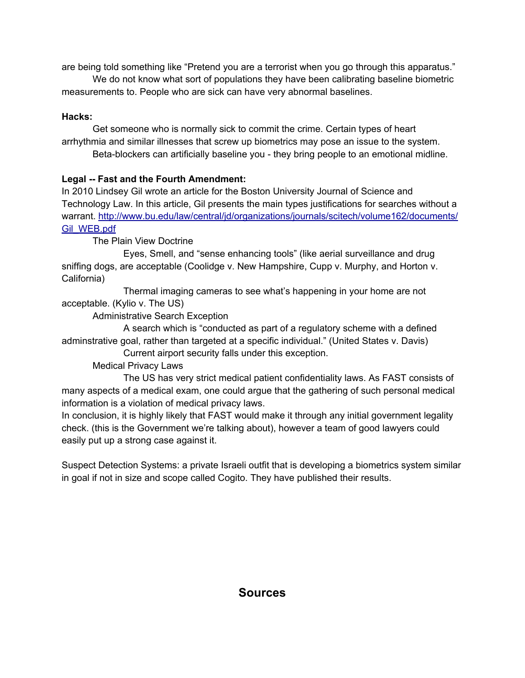are being told something like "Pretend you are a terrorist when you go through this apparatus."

We do not know what sort of populations they have been calibrating baseline biometric measurements to. People who are sick can have very abnormal baselines.

# **Hacks:**

Get someone who is normally sick to commit the crime. Certain types of heart arrhythmia and similar illnesses that screw up biometrics may pose an issue to the system. Beta-blockers can artificially baseline you - they bring people to an emotional midline.

# **Legal -- Fast and the Fourth Amendment:**

In 2010 Lindsey Gil wrote an article for the Boston University Journal of Science and Technology Law. In this article, Gil presents the main types justifications for searches without a warrant. [http://www.bu.edu/law/central/jd/organizations/journals/scitech/volume162/documents/](http://www.bu.edu/law/central/jd/organizations/journals/scitech/volume162/documents/Gil_WEB.pdf) [Gil\\_WEB.pdf](http://www.bu.edu/law/central/jd/organizations/journals/scitech/volume162/documents/Gil_WEB.pdf)

The Plain View Doctrine

Eyes, Smell, and "sense enhancing tools" (like aerial surveillance and drug sniffing dogs, are acceptable (Coolidge v. New Hampshire, Cupp v. Murphy, and Horton v. California)

Thermal imaging cameras to see what's happening in your home are not acceptable. (Kylio v. The US)

Administrative Search Exception

A search which is "conducted as part of a regulatory scheme with a defined adminstrative goal, rather than targeted at a specific individual." (United States v. Davis)

Current airport security falls under this exception.

Medical Privacy Laws

The US has very strict medical patient confidentiality laws. As FAST consists of many aspects of a medical exam, one could argue that the gathering of such personal medical information is a violation of medical privacy laws.

In conclusion, it is highly likely that FAST would make it through any initial government legality check. (this is the Government we're talking about), however a team of good lawyers could easily put up a strong case against it.

Suspect Detection Systems: a private Israeli outfit that is developing a biometrics system similar in goal if not in size and scope called Cogito. They have published their results.

# **Sources**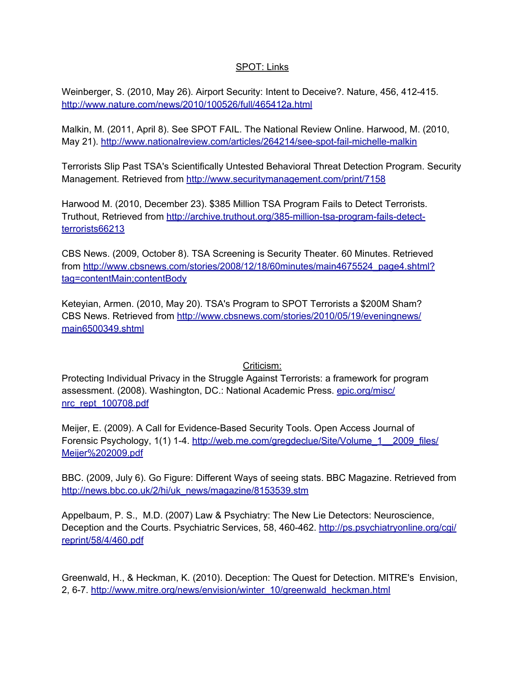### SPOT: Links

Weinberger, S. (2010, May 26). Airport Security: Intent to Deceive?. Nature, 456, 412-415. <http://www.nature.com/news/2010/100526/full/465412a.html>

Malkin, M. (2011, April 8). See SPOT FAIL. The National Review Online. Harwood, M. (2010, May 21). <http://www.nationalreview.com/articles/264214/see-spot-fail-michelle-malkin>

Terrorists Slip Past TSA's Scientifically Untested Behavioral Threat Detection Program. Security Management. Retrieved from <http://www.securitymanagement.com/print/7158>

Harwood M. (2010, December 23). \$385 Million TSA Program Fails to Detect Terrorists. Truthout, Retrieved from [http://archive.truthout.org/385-million-tsa-program-fails-detect](http://archive.truthout.org/385-million-tsa-program-fails-detect-terrorists66213)[terrorists66213](http://archive.truthout.org/385-million-tsa-program-fails-detect-terrorists66213)

CBS News. (2009, October 8). TSA Screening is Security Theater. 60 Minutes. Retrieved [from](http://www.cbsnews.com/stories/2008/12/18/60minutes/main4675524_page4.shtml?tag=contentMain;contentBody) [http://www.cbsnews.com/stories/2008/12/18/60minutes/main4675524\\_page4.shtml?](http://www.cbsnews.com/stories/2008/12/18/60minutes/main4675524_page4.shtml?tag=contentMain;contentBody) [tag=contentMain;contentBody](http://www.cbsnews.com/stories/2008/12/18/60minutes/main4675524_page4.shtml?tag=contentMain;contentBody)

Keteyian, Armen. (2010, May 20). TSA's Program to SPOT Terrorists a \$200M Sham? CBS News. Retrieve[d](http://www.cbsnews.com/stories/2010/05/19/eveningnews/main6500349.shtml) [from](http://www.cbsnews.com/stories/2010/05/19/eveningnews/main6500349.shtml) [http://www.cbsnews.com/stories/2010/05/19/eveningnews/](http://www.cbsnews.com/stories/2010/05/19/eveningnews/main6500349.shtml) [main6500349.shtml](http://www.cbsnews.com/stories/2010/05/19/eveningnews/main6500349.shtml)

Criticism:

Protecting Individual Privacy in the Struggle Against Terrorists: a framework for program assessment. (2008). Washington, DC.: National Academic Press. [epic.org/misc/](http://epic.org/misc/nrc_rept_100708.pdf) [nrc\\_rept\\_100708.pdf](http://epic.org/misc/nrc_rept_100708.pdf)

Meijer, E. (2009). A Call for Evidence-Based Security Tools. Open Access Journal of Forensic Psychology, 1(1) 1-4. [http://web.me.com/gregdeclue/Site/Volume\\_1\\_\\_2009\\_files/](http://web.me.com/gregdeclue/Site/Volume_1__2009_files/Meijer%202009.pdf) [Meijer%202009.pdf](http://web.me.com/gregdeclue/Site/Volume_1__2009_files/Meijer%202009.pdf)

BBC. (2009, July 6). Go Figure: Different Ways of seeing stats. BBC Magazine. Retrieved from [http://news.bbc.co.uk/2/hi/uk\\_news/magazine/8153539.stm](http://news.bbc.co.uk/2/hi/uk_news/magazine/8153539.stm)

Appelbaum, P. S., M.D. (2007) Law & Psychiatry: The New Lie Detectors: Neuroscience, Deception and the Courts. Psychiatric Services, 58, 460-462. [http://ps.psychiatryonline.org/cgi/](http://ps.psychiatryonline.org/cgi/reprint/58/4/460.pdf) [reprint/58/4/460.pdf](http://ps.psychiatryonline.org/cgi/reprint/58/4/460.pdf)

Greenwald, H., & Heckman, K. (2010). Deception: The Quest for Detection. MITRE's Envision, 2, 6-7. [http://www.mitre.org/news/envision/winter\\_10/greenwald\\_heckman.html](http://www.mitre.org/news/envision/winter_10/greenwald_heckman.html)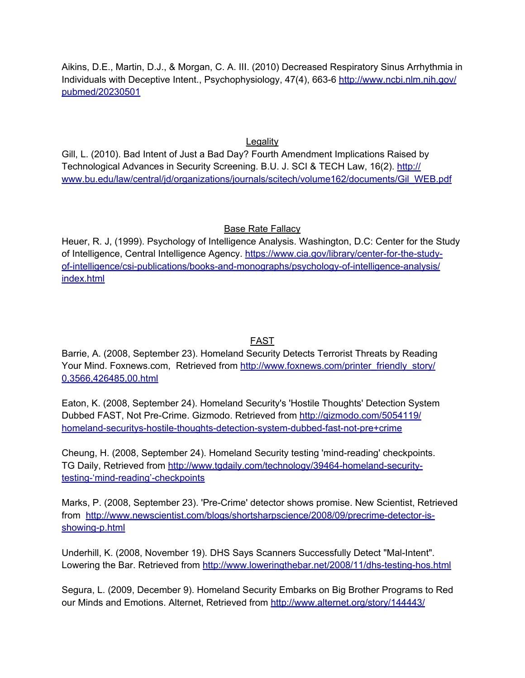Aikins, D.E., Martin, D.J., & Morgan, C. A. III. (2010) Decreased Respiratory Sinus Arrhythmia in Individuals with Deceptive Intent., Psychophysiology, 47(4), 663-6 [http://www.ncbi.nlm.nih.gov/](http://www.ncbi.nlm.nih.gov/pubmed/20230501) [pubmed/20230501](http://www.ncbi.nlm.nih.gov/pubmed/20230501)

**Legality** 

Gill, L. (2010). Bad Intent of Just a Bad Day? Fourth Amendment Implications Raised by Technological Advances in Security Screening. B.U. J. SCI & TECH Law, 16(2). [http://](http://www.bu.edu/law/central/jd/organizations/journals/scitech/volume162/documents/Gil_WEB.pdf) [www.bu.edu/law/central/jd/organizations/journals/scitech/volume162/documents/Gil\\_WEB.pdf](http://www.bu.edu/law/central/jd/organizations/journals/scitech/volume162/documents/Gil_WEB.pdf)

# Base Rate Fallacy

Heuer, R. J, (1999). Psychology of Intelligence Analysis. Washington, D.C: Center for the Study of Intelligence, Central Intelligence Agency. [https://www.cia.gov/library/center-for-the-study](https://www.cia.gov/library/center-for-the-study-of-intelligence/csi-publications/books-and-monographs/psychology-of-intelligence-analysis/index.html)[of-intelligence/csi-publications/books-and-monographs/psychology-of-intelligence-analysis/](https://www.cia.gov/library/center-for-the-study-of-intelligence/csi-publications/books-and-monographs/psychology-of-intelligence-analysis/index.html) [index.html](https://www.cia.gov/library/center-for-the-study-of-intelligence/csi-publications/books-and-monographs/psychology-of-intelligence-analysis/index.html)

# FAST

Barrie, A. (2008, September 23). Homeland Security Detects Terrorist Threats by Reading Your Mind. Foxnews.com, Retrieved from [http://www.foxnews.com/printer\\_friendly\\_story/](http://www.foxnews.com/printer_friendly_story/0,3566,426485,00.html) [0,3566,426485,00.html](http://www.foxnews.com/printer_friendly_story/0,3566,426485,00.html)

Eaton, K. (2008, September 24). Homeland Security's 'Hostile Thoughts' Detection System Dubbed FAST, Not Pre-Crime. Gizmodo. Retrieved from [http://gizmodo.com/5054119/](http://gizmodo.com/5054119/homeland-securitys-hostile-thoughts-detection-system-dubbed-fast-not-pre+crime) [homeland-securitys-hostile-thoughts-detection-system-dubbed-fast-not-pre+crime](http://gizmodo.com/5054119/homeland-securitys-hostile-thoughts-detection-system-dubbed-fast-not-pre+crime)

Cheung, H. (2008, September 24). Homeland Security testing 'mind-reading' checkpoints. TG Daily, Retrieved from [http://www.tgdaily.com/technology/39464-homeland-security](http://www.tgdaily.com/technology/39464-homeland-security-testing-%E2%80%98mind-reading%E2%80%99-checkpoints)[testing-'mind-reading'-checkpoints](http://www.tgdaily.com/technology/39464-homeland-security-testing-%E2%80%98mind-reading%E2%80%99-checkpoints)

Marks, P. (2008, September 23). 'Pre-Crime' detector shows promise. New Scientist, Retrieved fro[m](http://www.newscientist.com/blogs/shortsharpscience/2008/09/precrime-detector-is-showing-p.html) [http://www.newscientist.com/blogs/shortsharpscience/2008/09/precrime-detector-is](http://www.newscientist.com/blogs/shortsharpscience/2008/09/precrime-detector-is-showing-p.html)[showing-p.html](http://www.newscientist.com/blogs/shortsharpscience/2008/09/precrime-detector-is-showing-p.html)

Underhill, K. (2008, November 19). DHS Says Scanners Successfully Detect "Mal-Intent". Lowering the Bar. Retrie[ved](http://www.loweringthebar.net/2008/11/dhs-testing-hos.html) [from](http://www.loweringthebar.net/2008/11/dhs-testing-hos.html) <http://www.loweringthebar.net/2008/11/dhs-testing-hos.html>

Segura, L. (2009, December 9). Homeland Security Embarks on Big Brother Programs to Red our Minds and Emotions. Alternet, Retrieved from <http://www.alternet.org/story/144443/>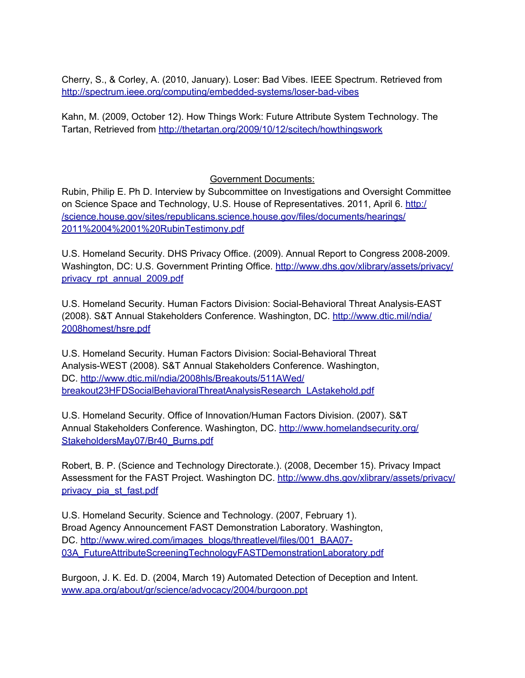Cherry, S., & Corley, A. (2010, January). Loser: Bad Vibes. IEEE Spectrum. Retrieved fro[m](http://spectrum.ieee.org/computing/embedded-systems/loser-bad-vibes) <http://spectrum.ieee.org/computing/embedded-systems/loser-bad-vibes>

Kahn, M. (2009, October 12). How Things Work: Future Attribute System Technology. The Tartan, Retrieved from <http://thetartan.org/2009/10/12/scitech/howthingswork>

Government Documents:

Rubin, Philip E. Ph D. Interview by Subcommittee on Investigations and Oversight Committee on Science Space and Technology, U.S. House of Representatives. 2011, April 6. [http:/](http://science.house.gov/sites/republicans.science.house.gov/files/documents/hearings/2011%2004%2001%20RubinTestimony.pdf) [/science.house.gov/sites/republicans.science.house.gov/files/documents/hearings/](http://science.house.gov/sites/republicans.science.house.gov/files/documents/hearings/2011%2004%2001%20RubinTestimony.pdf) [2011%2004%2001%20RubinTestimony.pdf](http://science.house.gov/sites/republicans.science.house.gov/files/documents/hearings/2011%2004%2001%20RubinTestimony.pdf)

U.S. Homeland Security. DHS Privacy Office. (2009). Annual Report to Congress 2008-2009. Washington, DC: U.S. Government Printing Office. [http://www.dhs.gov/xlibrary/assets/privacy/](http://www.dhs.gov/xlibrary/assets/privacy/privacy_rpt_annual_2009.pdf) [privacy\\_rpt\\_annual\\_2009.pdf](http://www.dhs.gov/xlibrary/assets/privacy/privacy_rpt_annual_2009.pdf)

U.S. Homeland Security. Human Factors Division: Social-Behavioral Threat Analysis-EAST (2008). S&T Annual Stakeholders Conference. Washington, DC. [http://www.dtic.mil/ndia/](http://www.dtic.mil/ndia/2008homest/hsre.pdf) [2008homest/hsre.pdf](http://www.dtic.mil/ndia/2008homest/hsre.pdf)

U.S. Homeland Security. Human Factors Division: Social-Behavioral Threat Analysis-WEST (2008). S&T Annual Stakeholders Conference. Washington, DC. [http://www.dtic.mil/ndia/2008hls/Breakouts/511AWed/](http://www.dtic.mil/ndia/2008hls/Breakouts/511AWed/breakout23HFDSocialBehavioralThreatAnalysisResearch_LAstakehold.pdf) [breakout23HFDSocialBehavioralThreatAnalysisResearch\\_LAstakehold.pdf](http://www.dtic.mil/ndia/2008hls/Breakouts/511AWed/breakout23HFDSocialBehavioralThreatAnalysisResearch_LAstakehold.pdf)

U.S. Homeland Security. Office of Innovation/Human Factors Division. (2007). S&T Annual Stakeholders Conference. Washington, DC. [http://www.homelandsecurity.org/](http://www.homelandsecurity.org/StakeholdersMay07/Br40_Burns.pdf) [StakeholdersMay07/Br40\\_Burns.pdf](http://www.homelandsecurity.org/StakeholdersMay07/Br40_Burns.pdf)

Robert, B. P. (Science and Technology Directorate.). (2008, December 15). Privacy Impact Assessment for the FAST Project. Washington DC. [http://www.dhs.gov/xlibrary/assets/privacy/](http://www.dhs.gov/xlibrary/assets/privacy/privacy_pia_st_fast.pdf) [privacy\\_pia\\_st\\_fast.pdf](http://www.dhs.gov/xlibrary/assets/privacy/privacy_pia_st_fast.pdf)

U.S. Homeland Security. Science and Technology. (2007, February 1). Broad Agency Announcement FAST Demonstration Laboratory. Washington, DC. [http://www.wired.com/images\\_blogs/threatlevel/files/001\\_BAA07-](http://www.wired.com/images_blogs/threatlevel/files/001_BAA07-03A_FutureAttributeScreeningTechnologyFASTDemonstrationLaboratory.pdf) [03A\\_FutureAttributeScreeningTechnologyFASTDemonstrationLaboratory.pdf](http://www.wired.com/images_blogs/threatlevel/files/001_BAA07-03A_FutureAttributeScreeningTechnologyFASTDemonstrationLaboratory.pdf)

Burgoon, J. K. Ed. D. (2004, March 19) Automated Detection of Deception and Intent. [www.apa.org/about/gr/science/advocacy/2004/burgoon.ppt](http://www.apa.org/about/gr/science/advocacy/2004/burgoon.ppt)